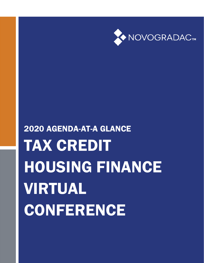2020 AGENDA-AT-A GLANCE TAX CREDIT HOUSING FINANCE VIRTUAL CONFERENCE

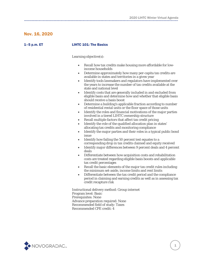## Nov. 16, 2020

## 1–5 p.m. ET LIHTC 101: The Basics

Learning objective(s):

- Recall how tax credits make housing more affordable for lowincome households
- Determine approximately how many per-capita tax credits are available in states and territories in a given year
- Identify tools lawmakers and regulators have implemented over the years to increase the number of tax credits available at the state and national level
- Identify costs that are generally included in and excluded from eligible basis and determine how and whether that eligible basis should receive a basis boost
- Determine a building's applicable fraction according to number of residential rental units or the floor space of those units
- Identify the roles and financial motivations of the major parties involved in a tiered LIHTC ownership structure
- Recall multiple factors that affect tax credit pricing
- Identify the role of the qualified allocation plan in states' allocating tax credits and monitoring compliance
- Identify the major parties and their roles in a typical public bond issue
- Identify how failing the 50 percent test equates to a corresponding drop in tax credits claimed and equity received
- Identify major differences between 9 percent deals and 4 percent deals
- Differentiate between how acquisition costs and rehabilitation costs are treated regarding eligible basis boosts and applicable tax credit percentages
- Recall the basic elements of the major tax credit rules including the minimum set-aside, income limits and rent limits
- Differentiate between the tax credit period and the compliance period in claiming and earning credits as well as in assessing tax credit recapture risk

Instructional delivery method: Group internet Program level: Basic Prerequisites: None Advance preparation required: None Recommended field of study: Taxes Recommended CPE credit: 4

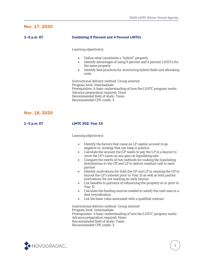# Nov. 17, 2020

| 1-5 p.m. ET   | <b>Combining 9 Percent and 4 Percent LIHTCs</b>                                                                                                                                                                                                                                                                                                                                                                                                                                                                                                                                                                                                                                                                                                                                                                                                                                                                                                                                                                                                                                                                                                                                           |
|---------------|-------------------------------------------------------------------------------------------------------------------------------------------------------------------------------------------------------------------------------------------------------------------------------------------------------------------------------------------------------------------------------------------------------------------------------------------------------------------------------------------------------------------------------------------------------------------------------------------------------------------------------------------------------------------------------------------------------------------------------------------------------------------------------------------------------------------------------------------------------------------------------------------------------------------------------------------------------------------------------------------------------------------------------------------------------------------------------------------------------------------------------------------------------------------------------------------|
|               | Learning objective(s):                                                                                                                                                                                                                                                                                                                                                                                                                                                                                                                                                                                                                                                                                                                                                                                                                                                                                                                                                                                                                                                                                                                                                                    |
|               | Define what constitutes a "hybrid" property<br>$\bullet$<br>Identify advantages of using 9 percent and 4 percent LIHTCs for<br>$\bullet$<br>the same property<br>Identify best practices for structuring hybrid deals and allocating<br>$\bullet$<br>costs                                                                                                                                                                                                                                                                                                                                                                                                                                                                                                                                                                                                                                                                                                                                                                                                                                                                                                                                |
|               | Instructional delivery method: Group internet<br>Program level: Intermediate<br>Prerequisites: A basic understanding of how the LIHTC program works<br><b>Advance preparation required: None</b><br>Recommended field of study: Taxes<br><b>Recommended CPE credit: 4</b>                                                                                                                                                                                                                                                                                                                                                                                                                                                                                                                                                                                                                                                                                                                                                                                                                                                                                                                 |
| Nov. 18, 2020 |                                                                                                                                                                                                                                                                                                                                                                                                                                                                                                                                                                                                                                                                                                                                                                                                                                                                                                                                                                                                                                                                                                                                                                                           |
| $1-5$ p.m. ET | <b>LIHTC 202: Year 15</b>                                                                                                                                                                                                                                                                                                                                                                                                                                                                                                                                                                                                                                                                                                                                                                                                                                                                                                                                                                                                                                                                                                                                                                 |
|               | Learning objective(s):<br>Identify the factors that cause an LP capital account to go<br>$\bullet$<br>negative vs. strategy that can keep it positive<br>Calculate the amount the GP needs to pay the LP in a buyout to<br>$\bullet$<br>cover the LP's taxes on any gain on liquidating sale<br>Compare the merits of two methods for making the liquidating<br>$\bullet$<br>distributions to the GP and LP to deliver residual cash to each<br>partner<br>Identify motivations for both the GP and LP in wanting the GP to<br>$\bullet$<br>buyout the LP's interest prior to Year 15 as well as both parties'<br>motivations for not wanting an early buyout<br>List benefits to partners of refinancing the property at or prior to<br>$\bullet$<br>Year 15<br>Calculate the funding sources needed to satisfy the cash uses in a<br>$\bullet$<br>deal resyndication<br>List the basic rules associated with a qualified contract<br>$\bullet$<br>Instructional delivery method: Group internet<br>Program level: Intermediate<br>Prerequisites: A basic understanding of how the LIHTC program works<br><b>Advance preparation required: None</b><br>Recommended field of study: Taxes |

Recommended CPE credit: 4

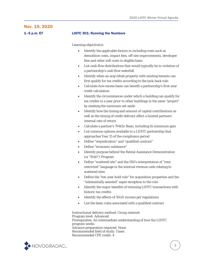## Nov. 19, 2020

### 1–5 p.m. ET LIHTC 301: Running the Numbers

Learning objective(s):

- Identify the applicable factors in including costs such as demolition costs, impact fees, off-site improvements, developer fees and other soft costs in eligible basis
- List cash flow distributions that would typically be in violation of a partnership's cash flow waterfall
- Identify when an acq/rehab property with existing tenants can first qualify for tax credits according to the tack-back rule
- Calculate how excess basis can benefit a partnership's first-year credit calculation
- Identify the circumstances under which a building can qualify for tax credits in a year prior to other buildings in the same "project" by meeting the minimum set-aside
- Identify how the timing and amount of capital contributions as well as the timing of credit delivery affect a limited partners' internal rate of return
- Calculate a partner's 704(b) Basis, including its minimum gain
- List common options available to a LIHTC partnership that approaches Year 15 of the compliance period
- Define "resyndication" and "qualified contract"
- Define "economic substance"
- Identify purpose behind the Rental Assistance Demonstration (or "RAD") Program
- Define "scattered site" and the IRS's interpretation of "rentrestricted" language in the internal revenue code relating to scattered sites
- Define the "ten-year hold rule" for acquisition properties and the "substantially assisted" super exception to the rule
- Identify the major benefits of twinning LIHTC transactions with historic tax credits
- Identify the effects of 50(d) income per regulations
- List the basic rules associated with a qualified contract

Instructional delivery method: Group internet Program level: Advanced Prerequisites: An intermediate understanding of how the LIHTC program works Advance preparation required: None Recommended field of study: Taxes Recommended CPE credit: 4

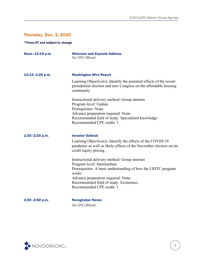# Thursday, Dec. 3, 2020

### \*Times ET and subject to change

| Noon-12:15 p.m. | <b>Welcome and Keynote Address</b><br>No CPE Offered.                                                                                                       |
|-----------------|-------------------------------------------------------------------------------------------------------------------------------------------------------------|
| 12:15-1:20 p.m. | <b>Washington Wire Report</b>                                                                                                                               |
|                 | Learning Objective $(s)$ : Identify the potential effects of the recent<br>presidential election and new Congress on the affordable housing<br>community    |
|                 | Instructional delivery method: Group internet                                                                                                               |
|                 | Program level: Update                                                                                                                                       |
|                 | Prerequisites: None<br>Advance preparation required: None                                                                                                   |
|                 | Recommended field of study: Specialized knowledge                                                                                                           |
|                 | Recommended CPE credit: 1                                                                                                                                   |
| 1:30-2:20 p.m.  | <b>Investor Outlook</b>                                                                                                                                     |
|                 | Learning Objective(s): Identify the effects of the COVID-19<br>pandemic as well as likely effects of the November election on tax<br>credit equity pricing. |
|                 | Instructional delivery method: Group internet                                                                                                               |
|                 | Program level: Intermediate                                                                                                                                 |
|                 | Prerequisites: A basic understanding of how the LIHTC program<br>works                                                                                      |
|                 | Advance preparation required: None                                                                                                                          |
|                 | Recommended field of study: Economics                                                                                                                       |
|                 | Recommended CPE credit: 1                                                                                                                                   |
| 2:20-2:50 p.m.  | <b>Novogradac Nexus</b>                                                                                                                                     |



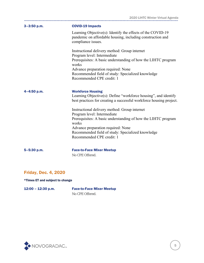| $3 - 3:50$ p.m. | <b>COVID-19 Impacts</b>                                                                                                                                            |
|-----------------|--------------------------------------------------------------------------------------------------------------------------------------------------------------------|
|                 | Learning Objective(s): Identify the effects of the COVID-19<br>pandemic on affordable housing, including construction and<br>compliance issues.                    |
|                 | Instructional delivery method: Group internet                                                                                                                      |
|                 | Program level: Intermediate<br>Prerequisites: A basic understanding of how the LIHTC program<br>works                                                              |
|                 | Advance preparation required: None<br>Recommended field of study: Specialized knowledge<br>Recommended CPE credit: 1                                               |
| 4-4:50 p.m.     | <b>Workforce Housing</b><br>Learning Objective(s): Define "workforce housing", and identify<br>best practices for creating a successful workforce housing project. |
|                 | Instructional delivery method: Group internet                                                                                                                      |
|                 | Program level: Intermediate<br>Prerequisites: A basic understanding of how the LIHTC program<br>works                                                              |
|                 | Advance preparation required: None                                                                                                                                 |
|                 | Recommended field of study: Specialized knowledge<br>Recommended CPE credit: 1                                                                                     |
| 5-5:30 p.m.     | <b>Face-to-Face Mixer Meetup</b>                                                                                                                                   |
|                 | No CPE Offered.                                                                                                                                                    |

# Friday, Dec. 4, 2020

\*Times ET and subject to change

12:00 – 12:30 p.m. Face-to-Face Mixer Meetup No CPE Offered.

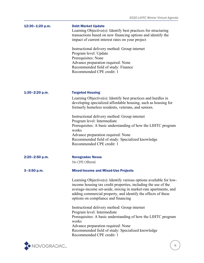| $12:30 - 1:20$ p.m. | <b>Debt Market Update</b><br>Learning Objective(s): Identify best practices for structuring<br>transactions based on new financing options and identify the<br>impact of current interest rates on your project<br>Instructional delivery method: Group internet<br>Program level: Update<br>Prerequisites: None<br>Advance preparation required: None<br>Recommended field of study: Finance<br>Recommended CPE credit: 1                                                                          |
|---------------------|-----------------------------------------------------------------------------------------------------------------------------------------------------------------------------------------------------------------------------------------------------------------------------------------------------------------------------------------------------------------------------------------------------------------------------------------------------------------------------------------------------|
| $1:30-2:20$ p.m.    | <b>Targeted Housing</b><br>Learning Objective(s): Identify best practices and hurdles in<br>developing specialized affordable housing, such as housing for<br>formerly homeless residents, veterans, and seniors.<br>Instructional delivery method: Group internet<br>Program level: Intermediate<br>Prerequisites: A basic understanding of how the LIHTC program<br>works<br>Advance preparation required: None<br>Recommended field of study: Specialized knowledge<br>Recommended CPE credit: 1 |
| $2:20 - 2:50$ p.m.  | <b>Novogradac Nexus</b><br>No CPE Offered.                                                                                                                                                                                                                                                                                                                                                                                                                                                          |
| $3 - 3:50$ p.m.     | <b>Mixed-Income and Mixed-Use Projects</b>                                                                                                                                                                                                                                                                                                                                                                                                                                                          |
|                     | Learning Objective(s): Identify various options available for low-<br>income housing tax credit properties, including the use of the<br>average-income set-aside, mixing in market-rate apartments, and<br>adding commercial property, and identify the effects of these<br>options on compliance and financing                                                                                                                                                                                     |
|                     | Instructional delivery method: Group internet<br>Program level: Intermediate<br>Prerequisites: A basic understanding of how the LIHTC program<br>works<br>Advance preparation required: None<br>Recommended field of study: Specialized knowledge<br>Recommended CPE credit: 1                                                                                                                                                                                                                      |